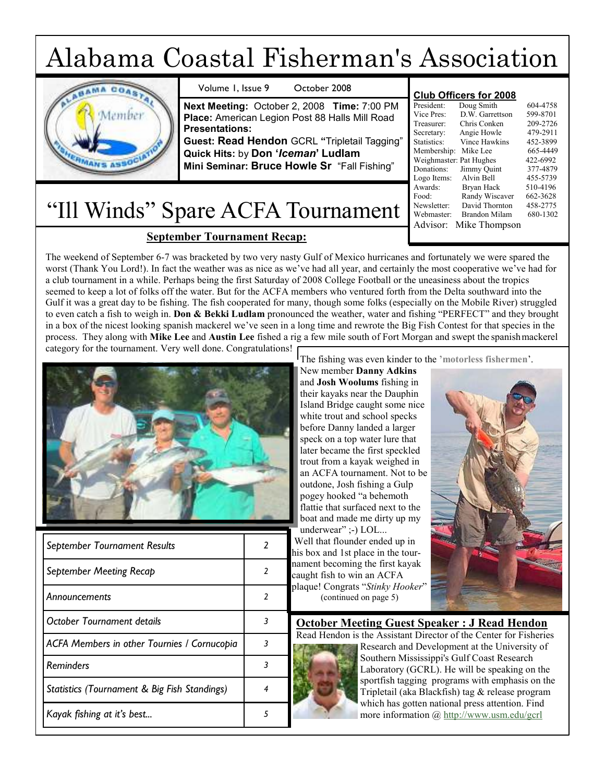# Alabama Coastal Fisherman's Association

| October 2008<br>Volume 1, Issue 9                                                                                                                                                                                                                           |                                                                                                                                                     | <b>Club Officers for 2008</b>                                                                              |                                                                                                          |
|-------------------------------------------------------------------------------------------------------------------------------------------------------------------------------------------------------------------------------------------------------------|-----------------------------------------------------------------------------------------------------------------------------------------------------|------------------------------------------------------------------------------------------------------------|----------------------------------------------------------------------------------------------------------|
| Next Meeting: October 2, 2008 Time: 7:00 PM<br>Place: American Legion Post 88 Halls Mill Road<br><b>Presentations:</b><br>Guest: Read Hendon GCRL "Tripletail Tagging"<br>Quick Hits: by Don 'Iceman' Ludlam<br>Mini Seminar: Bruce Howle Sr "Fall Fishing" | President:<br>Vice Pres:<br>Treasurer:<br>Secretary:<br>Statistics:<br>Membership: Mike Lee<br>Weighmaster: Pat Hughes<br>Donations:<br>Logo Items: | Doug Smith<br>D.W. Garrettson<br>Chris Conken<br>Angie Howle<br>Vince Hawkins<br>Jimmy Ouint<br>Alvin Bell | 604-4758<br>599-8701<br>209-2726<br>479-2911<br>452-3899<br>665-4449<br>422-6992<br>377-4879<br>455-5739 |
|                                                                                                                                                                                                                                                             | Awards:<br>Food:                                                                                                                                    | Bryan Hack<br>Randy Wiscaver                                                                               | 510-4196<br>662-3628                                                                                     |

# "Ill Winds" Spare ACFA Tournament

# September Tournament Recap:

The weekend of September 6-7 was bracketed by two very nasty Gulf of Mexico hurricanes and fortunately we were spared the worst (Thank You Lord!). In fact the weather was as nice as we've had all year, and certainly the most cooperative we've had for a club tournament in a while. Perhaps being the first Saturday of 2008 College Football or the uneasiness about the tropics seemed to keep a lot of folks off the water. But for the ACFA members who ventured forth from the Delta southward into the Gulf it was a great day to be fishing. The fish cooperated for many, though some folks (especially on the Mobile River) struggled to even catch a fish to weigh in. Don & Bekki Ludlam pronounced the weather, water and fishing "PERFECT" and they brought in a box of the nicest looking spanish mackerel we've seen in a long time and rewrote the Big Fish Contest for that species in the process. They along with Mike Lee and Austin Lee fished a rig a few mile south of Fort Morgan and swept the spanishmackerel category for the tournament. Very well done. Congratulations!



| September Tournament Results                 | $\overline{2}$ | $\frac{1}{2}$<br>Well that flounder ended up in<br>his box and 1st place in the tour- |  |  |  |
|----------------------------------------------|----------------|---------------------------------------------------------------------------------------|--|--|--|
| September Meeting Recap                      |                | nament becoming the first kayak<br>caught fish to win an ACFA                         |  |  |  |
| Announcements                                | 2              | plaque! Congrats "Stinky Hooker"<br>(continued on page 5)                             |  |  |  |
| October Tournament details                   | 3              | <b>October Meeting Guest S</b>                                                        |  |  |  |
| ACFA Members in other Tournies / Cornucopia  | 3              | Read Hendon is the Assistant Di<br>Research and De                                    |  |  |  |
| Reminders                                    | 3              | Southern Missis<br>Laboratory (GC                                                     |  |  |  |
| Statistics (Tournament & Big Fish Standings) | $\overline{4}$ | sportfish tagging<br>Tripletail (aka B                                                |  |  |  |
| Kayak fishing at it's best                   | 5              | which has gotter<br>more informatio                                                   |  |  |  |

The fishing was even kinder to the 'motorless fishermen'.

New member Danny Adkins and Josh Woolums fishing in their kayaks near the Dauphin Island Bridge caught some nice white trout and school specks before Danny landed a larger speck on a top water lure that later became the first speckled trout from a kayak weighed in an ACFA tournament. Not to be outdone, Josh fishing a Gulp pogey hooked "a behemoth flattie that surfaced next to the boat and made me dirty up my underwear" ;-) LOL... Well that flounder ended up in his box and 1st place in the tournament becoming the first kayak caught fish to win an ACFA

Newsletter: David Thornton 458-2775<br>Webmaster: Brandon Milam 680-1302

Webmaster: Brandon Milam Advisor: Mike Thompson

# October Meeting Guest Speaker : J Read Hendon



Read Hendon is the Assistant Director of the Center for Fisheries Research and Development at the University of Southern Mississippi's Gulf Coast Research Laboratory (GCRL). He will be speaking on the sportfish tagging programs with emphasis on the Tripletail (aka Blackfish) tag & release program which has gotten national press attention. Find more information @ http://www.usm.edu/gcrl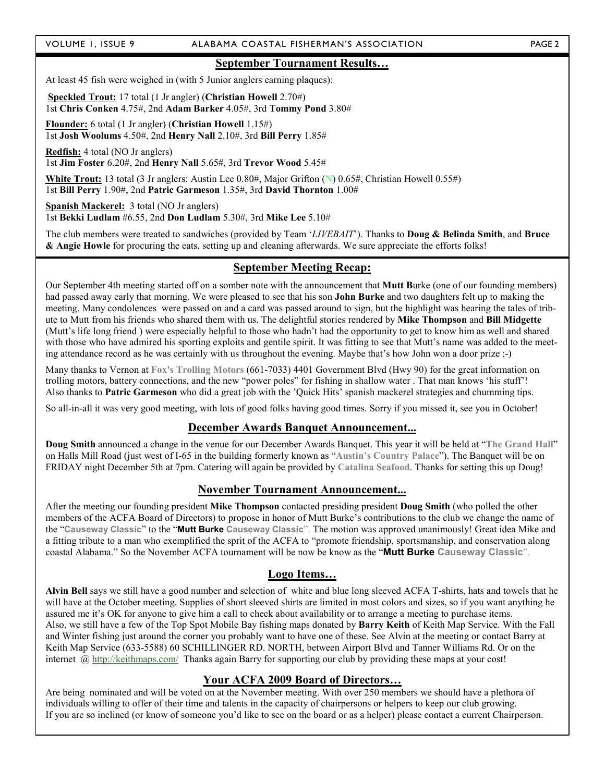#### VOLUME 1, ISSUE 9 ALABAMA COASTAL FISHERMAN'S ASSOCIATION PAGE 2

At least 45 fish were weighed in (with 5 Junior anglers earning plaques):

Speckled Trout: 17 total (1 Jr angler) (Christian Howell 2.70#) 1st Chris Conken 4.75#, 2nd Adam Barker 4.05#, 3rd Tommy Pond 3.80#

Flounder: 6 total (1 Jr angler) (Christian Howell 1.15#) 1st Josh Woolums 4.50#, 2nd Henry Nall 2.10#, 3rd Bill Perry 1.85#

Redfish: 4 total (NO Jr anglers) 1st Jim Foster 6.20#, 2nd Henry Nall 5.65#, 3rd Trevor Wood 5.45#

White Trout: 13 total (3 Jr anglers: Austin Lee 0.80#, Major Grifton (N) 0.65#, Christian Howell 0.55#) 1st Bill Perry 1.90#, 2nd Patric Garmeson 1.35#, 3rd David Thornton 1.00#

Spanish Mackerel: 3 total (NO Jr anglers) 1st Bekki Ludlam #6.55, 2nd Don Ludlam 5.30#, 3rd Mike Lee 5.10#

The club members were treated to sandwiches (provided by Team 'LIVEBAIT'). Thanks to **Doug & Belinda Smith**, and **Bruce** & Angie Howle for procuring the eats, setting up and cleaning afterwards. We sure appreciate the efforts folks!

#### September Meeting Recap:

Our September 4th meeting started off on a somber note with the announcement that **Mutt Burke** (one of our founding members) had passed away early that morning. We were pleased to see that his son John Burke and two daughters felt up to making the meeting. Many condolences were passed on and a card was passed around to sign, but the highlight was hearing the tales of tribute to Mutt from his friends who shared them with us. The delightful stories rendered by Mike Thompson and Bill Midgette (Mutt's life long friend ) were especially helpful to those who hadn't had the opportunity to get to know him as well and shared with those who have admired his sporting exploits and gentile spirit. It was fitting to see that Mutt's name was added to the meeting attendance record as he was certainly with us throughout the evening. Maybe that's how John won a door prize ;-)

Many thanks to Vernon at Fox's Trolling Motors (661-7033) 4401 Government Blvd (Hwy 90) for the great information on trolling motors, battery connections, and the new "power poles" for fishing in shallow water . That man knows 'his stuff'! Also thanks to Patric Garmeson who did a great job with the 'Quick Hits' spanish mackerel strategies and chumming tips.

So all-in-all it was very good meeting, with lots of good folks having good times. Sorry if you missed it, see you in October!

#### December Awards Banquet Announcement...

Doug Smith announced a change in the venue for our December Awards Banquet. This year it will be held at "The Grand Hall" on Halls Mill Road (just west of I-65 in the building formerly known as "Austin's Country Palace"). The Banquet will be on FRIDAY night December 5th at 7pm. Catering will again be provided by Catalina Seafood. Thanks for setting this up Doug!

#### November Tournament Announcement...

After the meeting our founding president Mike Thompson contacted presiding president Doug Smith (who polled the other members of the ACFA Board of Directors) to propose in honor of Mutt Burke's contributions to the club we change the name of the "Causeway Classic" to the "Mutt Burke Causeway Classic". The motion was approved unanimously! Great idea Mike and a fitting tribute to a man who exemplified the sprit of the ACFA to "promote friendship, sportsmanship, and conservation along coastal Alabama." So the November ACFA tournament will be now be know as the "Mutt Burke Causeway Classic".

#### Logo Items…

Alvin Bell says we still have a good number and selection of white and blue long sleeved ACFA T-shirts, hats and towels that he will have at the October meeting. Supplies of short sleeved shirts are limited in most colors and sizes, so if you want anything he assured me it's OK for anyone to give him a call to check about availability or to arrange a meeting to purchase items. Also, we still have a few of the Top Spot Mobile Bay fishing maps donated by Barry Keith of Keith Map Service. With the Fall and Winter fishing just around the corner you probably want to have one of these. See Alvin at the meeting or contact Barry at Keith Map Service (633-5588) 60 SCHILLINGER RD. NORTH, between Airport Blvd and Tanner Williams Rd. Or on the internet @ http://keithmaps.com/ Thanks again Barry for supporting our club by providing these maps at your cost!

#### Your ACFA 2009 Board of Directors…

Are being nominated and will be voted on at the November meeting. With over 250 members we should have a plethora of individuals willing to offer of their time and talents in the capacity of chairpersons or helpers to keep our club growing. If you are so inclined (or know of someone you'd like to see on the board or as a helper) please contact a current Chairperson.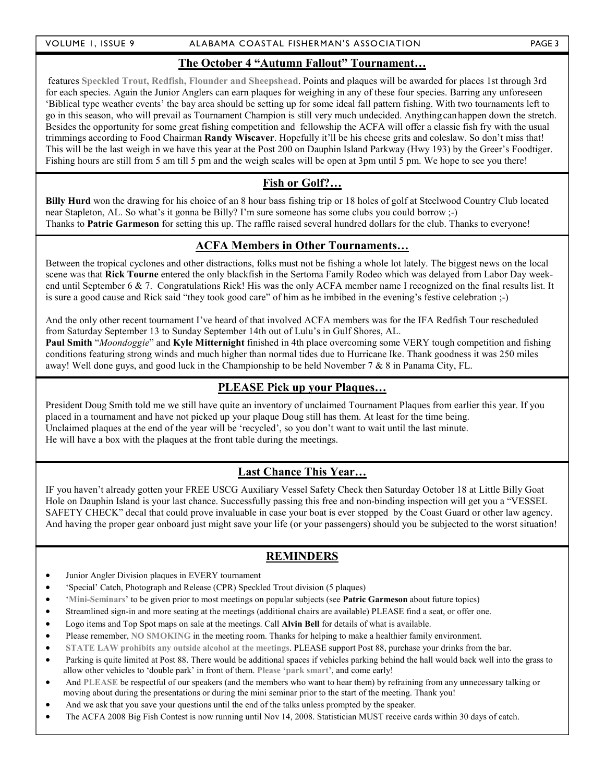#### VOLUME 1, ISSUE 9 ALABAMA COASTAL FISHERMAN'S ASSOCIATION PAGE 3

#### The October 4 "Autumn Fallout" Tournament…

 features Speckled Trout, Redfish, Flounder and Sheepshead. Points and plaques will be awarded for places 1st through 3rd for each species. Again the Junior Anglers can earn plaques for weighing in any of these four species. Barring any unforeseen 'Biblical type weather events' the bay area should be setting up for some ideal fall pattern fishing. With two tournaments left to go in this season, who will prevail as Tournament Champion is still very much undecided. Anything can happen down the stretch. Besides the opportunity for some great fishing competition and fellowship the ACFA will offer a classic fish fry with the usual trimmings according to Food Chairman Randy Wiscaver. Hopefully it'll be his cheese grits and coleslaw. So don't miss that! This will be the last weigh in we have this year at the Post 200 on Dauphin Island Parkway (Hwy 193) by the Greer's Foodtiger. Fishing hours are still from 5 am till 5 pm and the weigh scales will be open at 3pm until 5 pm. We hope to see you there!

# Fish or Golf?…

Billy Hurd won the drawing for his choice of an 8 hour bass fishing trip or 18 holes of golf at Steelwood Country Club located near Stapleton, AL. So what's it gonna be Billy? I'm sure someone has some clubs you could borrow ;-) Thanks to Patric Garmeson for setting this up. The raffle raised several hundred dollars for the club. Thanks to everyone!

#### ACFA Members in Other Tournaments…

Between the tropical cyclones and other distractions, folks must not be fishing a whole lot lately. The biggest news on the local scene was that Rick Tourne entered the only blackfish in the Sertoma Family Rodeo which was delayed from Labor Day weekend until September 6  $\&$  7. Congratulations Rick! His was the only ACFA member name I recognized on the final results list. It is sure a good cause and Rick said "they took good care" of him as he imbibed in the evening's festive celebration ;-)

And the only other recent tournament I've heard of that involved ACFA members was for the IFA Redfish Tour rescheduled from Saturday September 13 to Sunday September 14th out of Lulu's in Gulf Shores, AL.

Paul Smith "Moondoggie" and Kyle Mitternight finished in 4th place overcoming some VERY tough competition and fishing conditions featuring strong winds and much higher than normal tides due to Hurricane Ike. Thank goodness it was 250 miles away! Well done guys, and good luck in the Championship to be held November 7 & 8 in Panama City, FL.

# PLEASE Pick up your Plaques…

President Doug Smith told me we still have quite an inventory of unclaimed Tournament Plaques from earlier this year. If you placed in a tournament and have not picked up your plaque Doug still has them. At least for the time being. Unclaimed plaques at the end of the year will be 'recycled', so you don't want to wait until the last minute. He will have a box with the plaques at the front table during the meetings.

# Last Chance This Year…

IF you haven't already gotten your FREE USCG Auxiliary Vessel Safety Check then Saturday October 18 at Little Billy Goat Hole on Dauphin Island is your last chance. Successfully passing this free and non-binding inspection will get you a "VESSEL SAFETY CHECK" decal that could prove invaluable in case your boat is ever stopped by the Coast Guard or other law agency. And having the proper gear onboard just might save your life (or your passengers) should you be subjected to the worst situation!

# REMINDERS

- Junior Angler Division plaques in EVERY tournament
- 'Special' Catch, Photograph and Release (CPR) Speckled Trout division (5 plaques)
- 'Mini-Seminars' to be given prior to most meetings on popular subjects (see Patric Garmeson about future topics)
- Streamlined sign-in and more seating at the meetings (additional chairs are available) PLEASE find a seat, or offer one.
- Logo items and Top Spot maps on sale at the meetings. Call **Alvin Bell** for details of what is available.
- Please remember, NO SMOKING in the meeting room. Thanks for helping to make a healthier family environment.
- STATE LAW prohibits any outside alcohol at the meetings. PLEASE support Post 88, purchase your drinks from the bar.
- Parking is quite limited at Post 88. There would be additional spaces if vehicles parking behind the hall would back well into the grass to allow other vehicles to 'double park' in front of them. Please 'park smart', and come early!
- And PLEASE be respectful of our speakers (and the members who want to hear them) by refraining from any unnecessary talking or moving about during the presentations or during the mini seminar prior to the start of the meeting. Thank you!
- And we ask that you save your questions until the end of the talks unless prompted by the speaker.
- The ACFA 2008 Big Fish Contest is now running until Nov 14, 2008. Statistician MUST receive cards within 30 days of catch.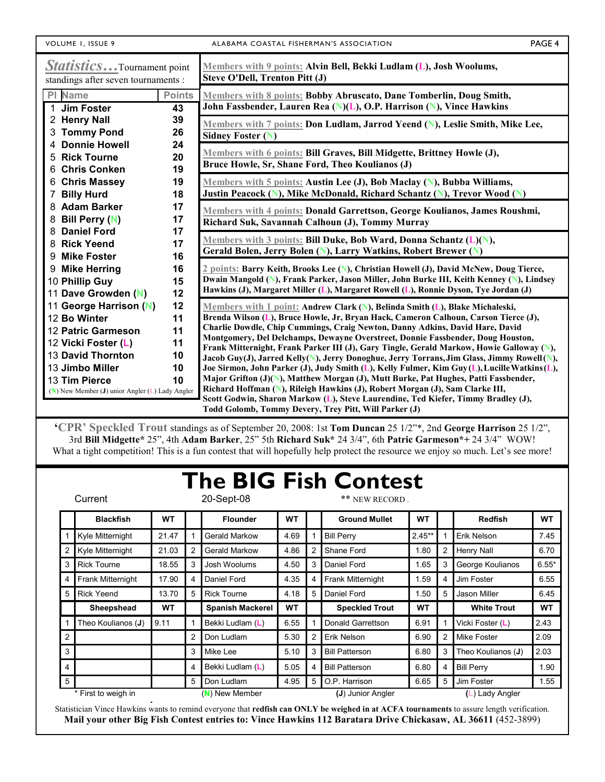| VOLUME 1, ISSUE 9 |  |  |
|-------------------|--|--|
|                   |  |  |

ALABAMA COASTAL FISHERMAN'S ASSOCIATION **FAGE 4** 

| <b>Statistics</b> Tournament point<br>standings after seven tournaments : |               | Members with 9 points: Alvin Bell, Bekki Ludlam (L), Josh Woolums,<br>Steve O'Dell, Trenton Pitt (J)                                                                                       |  |  |  |  |
|---------------------------------------------------------------------------|---------------|--------------------------------------------------------------------------------------------------------------------------------------------------------------------------------------------|--|--|--|--|
| PI Name                                                                   | <b>Points</b> | Members with 8 points: Bobby Abruscato, Dane Tomberlin, Doug Smith,                                                                                                                        |  |  |  |  |
| 1 Jim Foster                                                              | 43            | John Fassbender, Lauren Rea (N)(L), O.P. Harrison (N), Vince Hawkins                                                                                                                       |  |  |  |  |
| 2 Henry Nall                                                              | 39            | Members with 7 points: Don Ludlam, Jarrod Yeend (N), Leslie Smith, Mike Lee,                                                                                                               |  |  |  |  |
| <b>Tommy Pond</b><br>3                                                    | 26            | <b>Sidney Foster (N)</b>                                                                                                                                                                   |  |  |  |  |
| <b>Donnie Howell</b><br>4                                                 | 24            | Members with 6 points: Bill Graves, Bill Midgette, Brittney Howle (J),                                                                                                                     |  |  |  |  |
| <b>Rick Tourne</b><br>5                                                   | 20            | Bruce Howle, Sr, Shane Ford, Theo Koulianos (J)                                                                                                                                            |  |  |  |  |
| <b>Chris Conken</b><br>6                                                  | 19            |                                                                                                                                                                                            |  |  |  |  |
| <b>Chris Massey</b><br>6                                                  | 19            | Members with 5 points: Austin Lee (J), Bob Maclay (N), Bubba Williams,                                                                                                                     |  |  |  |  |
| <b>Billy Hurd</b><br>7                                                    | 18            | Justin Peacock (N), Mike McDonald, Richard Schantz (N), Trevor Wood (N)                                                                                                                    |  |  |  |  |
| <b>Adam Barker</b><br>8                                                   | 17            | Members with 4 points: Donald Garrettson, George Koulianos, James Roushmi,                                                                                                                 |  |  |  |  |
| <b>Bill Perry (N)</b><br>8                                                | 17            | Richard Suk, Savannah Calhoun (J), Tommy Murray                                                                                                                                            |  |  |  |  |
| <b>Daniel Ford</b><br>8                                                   | 17            |                                                                                                                                                                                            |  |  |  |  |
| <b>Rick Yeend</b><br>8                                                    | 17            | Members with 3 points: Bill Duke, Bob Ward, Donna Schantz (L)(N),                                                                                                                          |  |  |  |  |
| <b>Mike Foster</b><br>9                                                   | 16            | Gerald Bolen, Jerry Bolen (N), Larry Watkins, Robert Brewer (N)                                                                                                                            |  |  |  |  |
| <b>Mike Herring</b><br>9                                                  | 16            | 2 points: Barry Keith, Brooks Lee (N), Christian Howell (J), David McNew, Doug Tierce,                                                                                                     |  |  |  |  |
| 10 Phillip Guy                                                            | 15            | Dwain Mangold (N), Frank Parker, Jason Miller, John Burke III, Keith Kenney (N), Lindsey                                                                                                   |  |  |  |  |
| 11 Dave Growden (N)                                                       | 12            | Hawkins (J), Margaret Miller (L), Margaret Rowell (L), Ronnie Dyson, Tye Jordan (J)                                                                                                        |  |  |  |  |
| 11 George Harrison (N)                                                    | 12            | Members with 1 point: Andrew Clark (N), Belinda Smith (L), Blake Michaleski,                                                                                                               |  |  |  |  |
| 12 Bo Winter                                                              | 11            | Brenda Wilson (L), Bruce Howle, Jr, Bryan Hack, Cameron Calhoun, Carson Tierce (J),                                                                                                        |  |  |  |  |
| 12 Patric Garmeson                                                        | 11            | Charlie Dowdle, Chip Cummings, Craig Newton, Danny Adkins, David Hare, David                                                                                                               |  |  |  |  |
| 12 Vicki Foster (L)                                                       | 11            | Montgomery, Del Delchamps, Dewayne Overstreet, Donnie Fassbender, Doug Houston,                                                                                                            |  |  |  |  |
| 13 David Thornton                                                         | 10            | Frank Mitternight, Frank Parker III (J), Gary Tingle, Gerald Markow, Howie Galloway (N),                                                                                                   |  |  |  |  |
| 13 Jimbo Miller                                                           | 10            | Jacob Guy(J), Jarred Kelly(N), Jerry Donoghue, Jerry Torrans, Jim Glass, Jimmy Rowell (N),<br>Joe Sirmon, John Parker (J), Judy Smith (L), Kelly Fulmer, Kim Guy (L), Lucille Watkins (L), |  |  |  |  |
| 13 Tim Pierce                                                             | 10            | Major Grifton (J)(N), Matthew Morgan (J), Mutt Burke, Pat Hughes, Patti Fassbender,                                                                                                        |  |  |  |  |
| $(N)$ New Member (J) unior Angler (L) Lady Angler                         |               | Richard Hoffman (N), Rileigh Hawkins (J), Robert Morgan (J), Sam Clarke III,                                                                                                               |  |  |  |  |
|                                                                           |               | Scott Godwin, Sharon Markow (L), Steve Laurendine, Ted Kiefer, Timmy Bradley (J),                                                                                                          |  |  |  |  |
|                                                                           |               | Todd Golomb, Tommy Devery, Trey Pitt, Will Parker (J)                                                                                                                                      |  |  |  |  |

'CPR' Speckled Trout standings as of September 20, 2008: 1st Tom Duncan 25 1/2"\*, 2nd George Harrison 25 1/2", 3rd Bill Midgette\* 25", 4th Adam Barker, 25" 5th Richard Suk\* 24 3/4", 6th Patric Garmeson\*+ 24 3/4" WOW! What a tight competition! This is a fun contest that will hopefully help protect the resource we enjoy so much. Let's see more!

# The BIG Fish Contest

| Current             |                    |           |   | 20-Sept-08              |           | ** NEW RECORD. |                       |           |   |                    |           |
|---------------------|--------------------|-----------|---|-------------------------|-----------|----------------|-----------------------|-----------|---|--------------------|-----------|
|                     | <b>Blackfish</b>   | <b>WT</b> |   | <b>Flounder</b>         | <b>WT</b> |                | <b>Ground Mullet</b>  | <b>WT</b> |   | <b>Redfish</b>     | <b>WT</b> |
|                     | Kyle Mitternight   | 21.47     |   | <b>Gerald Markow</b>    | 4.69      |                | <b>Bill Perry</b>     | $2.45**$  |   | Erik Nelson        | 7.45      |
| 2                   | Kyle Mitternight   | 21.03     |   | <b>Gerald Markow</b>    | 4.86      | 2              | Shane Ford            | 1.80      | 2 | Henry Nall         | 6.70      |
| 3                   | <b>Rick Tourne</b> | 18.55     | 3 | Josh Woolums            | 4.50      | 3              | Daniel Ford           | 1.65      | 3 | George Koulianos   | $6.55*$   |
| 4                   | Frank Mitternight  | 17.90     | 4 | Daniel Ford             | 4.35      | 4              | Frank Mitternight     | 1.59      | 4 | Jim Foster         | 6.55      |
| 5                   | <b>Rick Yeend</b>  | 13.70     | 5 | <b>Rick Tourne</b>      | 4.18      | 5              | Daniel Ford           | 1.50      | 5 | Jason Miller       | 6.45      |
|                     | Sheepshead         | WT        |   | <b>Spanish Mackerel</b> | WT        |                | <b>Speckled Trout</b> | <b>WT</b> |   | <b>White Trout</b> | <b>WT</b> |
|                     | Theo Koulianos (J) | 9.11      |   | Bekki Ludlam (L)        | 6.55      |                | Donald Garrettson     | 6.91      |   | Vicki Foster (L)   | 2.43      |
| 2                   |                    |           | 2 | Don Ludlam              | 5.30      | 2              | Erik Nelson           | 6.90      | 2 | Mike Foster        | 2.09      |
| 3                   |                    |           | 3 | Mike Lee                | 5.10      | 3              | <b>Bill Patterson</b> | 6.80      | 3 | Theo Koulianos (J) | 2.03      |
| $\overline{4}$      |                    |           | 4 | Bekki Ludlam (L)        | 5.05      | 4              | <b>Bill Patterson</b> | 6.80      | 4 | <b>Bill Perry</b>  | 1.90      |
| 5                   |                    |           | 5 | Don Ludlam              | 4.95      | 5              | O.P. Harrison         | 6.65      | 5 | Jim Foster         | 1.55      |
| * First to weigh in |                    |           |   | (N) New Member          |           |                | (J) Junior Angler     |           |   | (L) Lady Angler    |           |

Statistician Vince Hawkins wants to remind everyone that redfish can ONLY be weighed in at ACFA tournaments to assure length verification. Mail your other Big Fish Contest entries to: Vince Hawkins 112 Baratara Drive Chickasaw, AL 36611 (452-3899)